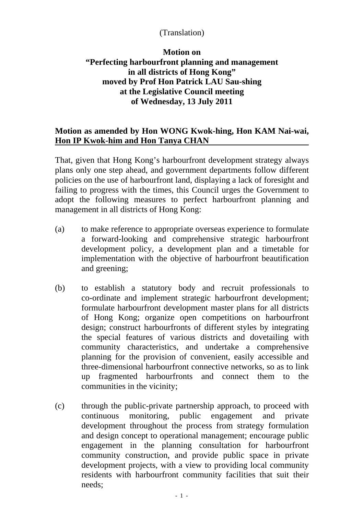## (Translation)

## **Motion on "Perfecting harbourfront planning and management in all districts of Hong Kong" moved by Prof Hon Patrick LAU Sau-shing at the Legislative Council meeting of Wednesday, 13 July 2011**

## **Motion as amended by Hon WONG Kwok-hing, Hon KAM Nai-wai, Hon IP Kwok-him and Hon Tanya CHAN**

That, given that Hong Kong's harbourfront development strategy always plans only one step ahead, and government departments follow different policies on the use of harbourfront land, displaying a lack of foresight and failing to progress with the times, this Council urges the Government to adopt the following measures to perfect harbourfront planning and management in all districts of Hong Kong:

- (a) to make reference to appropriate overseas experience to formulate a forward-looking and comprehensive strategic harbourfront development policy, a development plan and a timetable for implementation with the objective of harbourfront beautification and greening;
- (b) to establish a statutory body and recruit professionals to co-ordinate and implement strategic harbourfront development; formulate harbourfront development master plans for all districts of Hong Kong; organize open competitions on harbourfront design; construct harbourfronts of different styles by integrating the special features of various districts and dovetailing with community characteristics, and undertake a comprehensive planning for the provision of convenient, easily accessible and three-dimensional harbourfront connective networks, so as to link up fragmented harbourfronts and connect them to the communities in the vicinity;
- (c) through the public-private partnership approach, to proceed with continuous monitoring, public engagement and private development throughout the process from strategy formulation and design concept to operational management; encourage public engagement in the planning consultation for harbourfront community construction, and provide public space in private development projects, with a view to providing local community residents with harbourfront community facilities that suit their needs;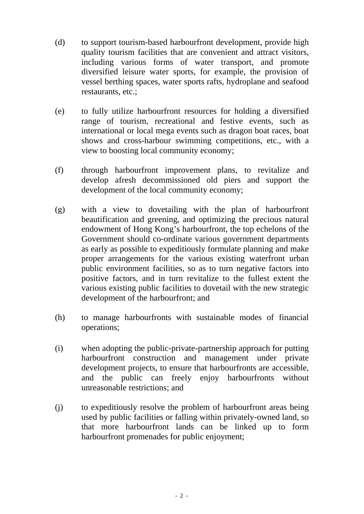- (d) to support tourism-based harbourfront development, provide high quality tourism facilities that are convenient and attract visitors, including various forms of water transport, and promote diversified leisure water sports, for example, the provision of vessel berthing spaces, water sports rafts, hydroplane and seafood restaurants, etc.;
- (e) to fully utilize harbourfront resources for holding a diversified range of tourism, recreational and festive events, such as international or local mega events such as dragon boat races, boat shows and cross-harbour swimming competitions, etc., with a view to boosting local community economy;
- (f) through harbourfront improvement plans, to revitalize and develop afresh decommissioned old piers and support the development of the local community economy;
- (g) with a view to dovetailing with the plan of harbourfront beautification and greening, and optimizing the precious natural endowment of Hong Kong's harbourfront, the top echelons of the Government should co-ordinate various government departments as early as possible to expeditiously formulate planning and make proper arrangements for the various existing waterfront urban public environment facilities, so as to turn negative factors into positive factors, and in turn revitalize to the fullest extent the various existing public facilities to dovetail with the new strategic development of the harbourfront; and
- (h) to manage harbourfronts with sustainable modes of financial operations;
- (i) when adopting the public-private-partnership approach for putting harbourfront construction and management under private development projects, to ensure that harbourfronts are accessible, and the public can freely enjoy harbourfronts without unreasonable restrictions; and
- (j) to expeditiously resolve the problem of harbourfront areas being used by public facilities or falling within privately-owned land, so that more harbourfront lands can be linked up to form harbourfront promenades for public enjoyment;